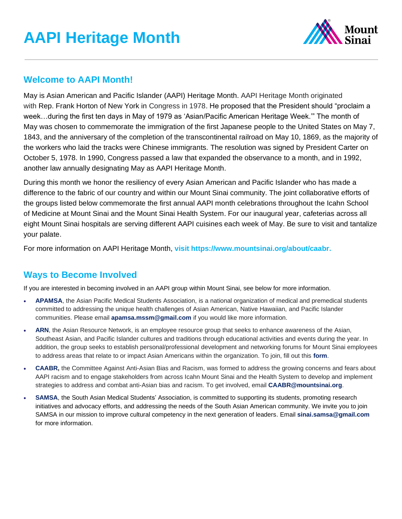

### **Welcome to AAPI Month!**

May is Asian American and Pacific Islander (AAPI) Heritage Month. AAPI Heritage Month originated with Rep. Frank Horton of New York in Congress in 1978. He proposed that the President should "proclaim a week…during the first ten days in May of 1979 as 'Asian/Pacific American Heritage Week.'" The month of May was chosen to commemorate the immigration of the first Japanese people to the United States on May 7, 1843, and the anniversary of the completion of the transcontinental railroad on May 10, 1869, as the majority of the workers who laid the tracks were Chinese immigrants*.* The resolution was signed by President Carter on October 5, 1978. In 1990, Congress passed a law that expanded the observance to a month, and in 1992, another law annually designating May as AAPI Heritage Month.

During this month we honor the resiliency of every Asian American and Pacific Islander who has made a difference to the fabric of our country and within our Mount Sinai community. The joint collaborative efforts of the groups listed below commemorate the first annual AAPI month celebrations throughout the Icahn School of Medicine at Mount Sinai and the Mount Sinai Health System. For our inaugural year, cafeterias across all eight Mount Sinai hospitals are serving different AAPI cuisines each week of May. Be sure to visit and tantalize your palate.

For more information on AAPI Heritage Month, **visit [https://www.mountsinai.org/about/caabr.](https://www.mountsinai.org/about/caabr)** 

# **Ways to Become Involved**

If you are interested in becoming involved in an AAPI group within Mount Sinai, see below for more information.

- **APAMSA**, the Asian Pacific Medical Students Association, is a national organization of medical and premedical students committed to addressing the unique health challenges of Asian American, Native Hawaiian, and Pacific Islander communities. Please email **[apamsa.mssm@gmail.com](mailto:apamsa.mssm@gmail.com)** if you would like more information.
- ARN, the Asian Resource Network, is an employee resource group that seeks to enhance awareness of the Asian, Southeast Asian, and Pacific Islander cultures and traditions through educational activities and events during the year. In addition, the group seeks to establish personal/professional development and networking forums for Mount Sinai employees to address areas that relate to or impact Asian Americans within the organization. To join, fill out this **[form](https://docs.google.com/forms/d/e/1FAIpQLSfoDCp1ecvmJ9IXyT96gAsFeJNyQXgU4uFzctZy9mNOZUbCqQ/viewform)**.
- **CAABR,** the Committee Against Anti-Asian Bias and Racism, was formed to address the growing concerns and fears about AAPI racism and to engage stakeholders from across Icahn Mount Sinai and the Health System to develop and implement strategies to address and combat anti-Asian bias and racism. To get involved, email **[CAABR@mountsinai.org](mailto:CAABR@mountsinai.org)**.
- **SAMSA**, the South Asian Medical Students' Association, is committed to supporting its students, promoting research initiatives and advocacy efforts, and addressing the needs of the South Asian American community. We invite you to join SAMSA in our mission to improve cultural competency in the next generation of leaders. Email **[sinai.samsa@gmail.com](mailto:sinai.samsa@gmail.com)** for more information.